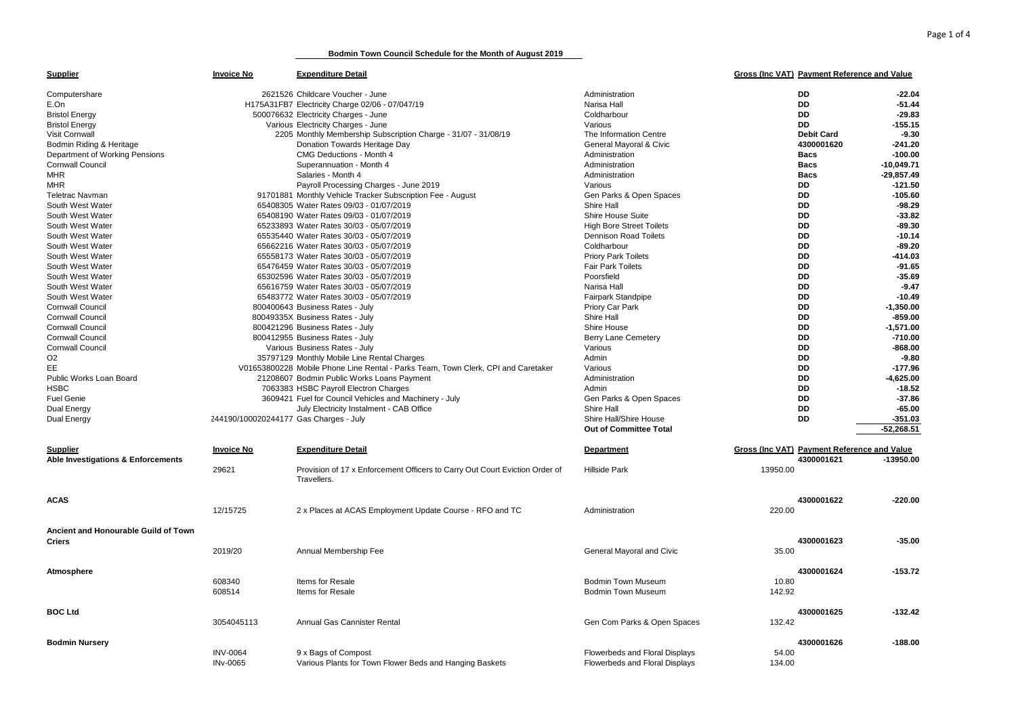**Bodmin Town Council Schedule for the Month of August 2019**

| DD<br>2621526 Childcare Voucher - June<br>Administration<br>$-22.04$<br>Computershare<br><b>DD</b><br>$-51.44$<br>E.On<br>H175A31FB7 Electricity Charge 02/06 - 07/047/19<br>Narisa Hall<br><b>DD</b><br>$-29.83$<br>500076632 Electricity Charges - June<br><b>Bristol Energy</b><br>Coldharbour<br><b>DD</b><br>$-155.15$<br>Various Electricity Charges - June<br><b>Bristol Energy</b><br>Various<br>2205 Monthly Membership Subscription Charge - 31/07 - 31/08/19<br>The Information Centre<br><b>Debit Card</b><br>$-9.30$<br>Visit Cornwall<br>Bodmin Riding & Heritage<br>Donation Towards Heritage Day<br>General Mayoral & Civic<br>4300001620<br>$-241.20$<br>CMG Deductions - Month 4<br>$-100.00$<br>Department of Working Pensions<br>Administration<br><b>Bacs</b><br>$-10,049.71$<br><b>Cornwall Council</b><br>Superannuation - Month 4<br>Administration<br><b>Bacs</b><br><b>MHR</b><br>Salaries - Month 4<br>Administration<br><b>Bacs</b><br>$-29.857.49$<br><b>MHR</b><br>Payroll Processing Charges - June 2019<br>Various<br>DD<br>$-121.50$<br><b>DD</b><br><b>Teletrac Navman</b><br>91701881 Monthly Vehicle Tracker Subscription Fee - August<br>Gen Parks & Open Spaces<br>$-105.60$<br>South West Water<br>65408305 Water Rates 09/03 - 01/07/2019<br>Shire Hall<br>DD<br>$-98.29$<br>65408190 Water Rates 09/03 - 01/07/2019<br>Shire House Suite<br>DD<br>$-33.82$<br>South West Water<br>DD<br>$-89.30$<br>South West Water<br>65233893 Water Rates 30/03 - 05/07/2019<br><b>High Bore Street Toilets</b><br><b>DD</b><br>$-10.14$<br>South West Water<br>65535440 Water Rates 30/03 - 05/07/2019<br><b>Dennison Road Toilets</b><br><b>DD</b><br>$-89.20$<br>South West Water<br>65662216 Water Rates 30/03 - 05/07/2019<br>Coldharbour<br>South West Water<br>65558173 Water Rates 30/03 - 05/07/2019<br><b>Priory Park Toilets</b><br>DD<br>$-414.03$<br><b>DD</b><br>South West Water<br>65476459 Water Rates 30/03 - 05/07/2019<br><b>Fair Park Toilets</b><br>$-91.65$<br>Poorsfield<br>DD<br>$-35.69$<br>South West Water<br>65302596 Water Rates 30/03 - 05/07/2019<br><b>DD</b><br>$-9.47$<br>South West Water<br>65616759 Water Rates 30/03 - 05/07/2019<br>Narisa Hall<br><b>DD</b><br>$-10.49$<br>South West Water<br>65483772 Water Rates 30/03 - 05/07/2019<br>Fairpark Standpipe<br><b>DD</b><br>$-1,350.00$<br><b>Cornwall Council</b><br>800400643 Business Rates - July<br>Priory Car Park<br><b>DD</b><br>$-859.00$<br>Cornwall Council<br>80049335X Business Rates - July<br>Shire Hall<br><b>DD</b><br><b>Cornwall Council</b><br>800421296 Business Rates - July<br>Shire House<br>$-1,571.00$<br><b>DD</b><br>$-710.00$<br><b>Cornwall Council</b><br>800412955 Business Rates - July<br><b>Berry Lane Cemetery</b><br><b>DD</b><br><b>Cornwall Council</b><br>$-868.00$<br>Various Business Rates - July<br>Various<br>O <sub>2</sub><br>35797129 Monthly Mobile Line Rental Charges<br>DD<br>$-9.80$<br>Admin<br>EE<br>DD<br>V01653800228 Mobile Phone Line Rental - Parks Team, Town Clerk, CPI and Caretaker<br>Various<br>$-177.96$<br><b>DD</b><br>$-4,625.00$<br>Public Works Loan Board<br>21208607 Bodmin Public Works Loans Payment<br>Administration<br><b>HSBC</b><br>DD<br>$-18.52$<br>7063383 HSBC Payroll Electron Charges<br>Admin<br><b>Fuel Genie</b><br>3609421 Fuel for Council Vehicles and Machinery - July<br>Gen Parks & Open Spaces<br>DD<br>$-37.86$<br>$-65.00$<br>July Electricity Instalment - CAB Office<br>Shire Hall<br>DD<br>Dual Energy<br>Shire Hall/Shire House<br>DD<br>$-351.03$<br>Dual Energy<br>244190/100020244177 Gas Charges - July<br><b>Out of Committee Total</b><br>$-52,268.51$<br><b>Expenditure Detail</b><br>Gross (Inc VAT) Payment Reference and Value<br><b>Invoice No</b><br><b>Department</b><br><b>Supplier</b><br>4300001621<br>$-13950.00$<br>Able Investigations & Enforcements | <b>Supplier</b> | <b>Invoice No</b> | <b>Expenditure Detail</b> | Gross (Inc VAT) Payment Reference and Value |  |
|-------------------------------------------------------------------------------------------------------------------------------------------------------------------------------------------------------------------------------------------------------------------------------------------------------------------------------------------------------------------------------------------------------------------------------------------------------------------------------------------------------------------------------------------------------------------------------------------------------------------------------------------------------------------------------------------------------------------------------------------------------------------------------------------------------------------------------------------------------------------------------------------------------------------------------------------------------------------------------------------------------------------------------------------------------------------------------------------------------------------------------------------------------------------------------------------------------------------------------------------------------------------------------------------------------------------------------------------------------------------------------------------------------------------------------------------------------------------------------------------------------------------------------------------------------------------------------------------------------------------------------------------------------------------------------------------------------------------------------------------------------------------------------------------------------------------------------------------------------------------------------------------------------------------------------------------------------------------------------------------------------------------------------------------------------------------------------------------------------------------------------------------------------------------------------------------------------------------------------------------------------------------------------------------------------------------------------------------------------------------------------------------------------------------------------------------------------------------------------------------------------------------------------------------------------------------------------------------------------------------------------------------------------------------------------------------------------------------------------------------------------------------------------------------------------------------------------------------------------------------------------------------------------------------------------------------------------------------------------------------------------------------------------------------------------------------------------------------------------------------------------------------------------------------------------------------------------------------------------------------------------------------------------------------------------------------------------------------------------------------------------------------------------------------------------------------------------------------------------------------------------------------------------------------------------------------------------------------------------------------------------------------------------------------------------------------------------------------------------------------------------------------------------------------------------------------------------------------------------------------------------------------------------|-----------------|-------------------|---------------------------|---------------------------------------------|--|
|                                                                                                                                                                                                                                                                                                                                                                                                                                                                                                                                                                                                                                                                                                                                                                                                                                                                                                                                                                                                                                                                                                                                                                                                                                                                                                                                                                                                                                                                                                                                                                                                                                                                                                                                                                                                                                                                                                                                                                                                                                                                                                                                                                                                                                                                                                                                                                                                                                                                                                                                                                                                                                                                                                                                                                                                                                                                                                                                                                                                                                                                                                                                                                                                                                                                                                                                                                                                                                                                                                                                                                                                                                                                                                                                                                                                                                                                                                       |                 |                   |                           |                                             |  |
|                                                                                                                                                                                                                                                                                                                                                                                                                                                                                                                                                                                                                                                                                                                                                                                                                                                                                                                                                                                                                                                                                                                                                                                                                                                                                                                                                                                                                                                                                                                                                                                                                                                                                                                                                                                                                                                                                                                                                                                                                                                                                                                                                                                                                                                                                                                                                                                                                                                                                                                                                                                                                                                                                                                                                                                                                                                                                                                                                                                                                                                                                                                                                                                                                                                                                                                                                                                                                                                                                                                                                                                                                                                                                                                                                                                                                                                                                                       |                 |                   |                           |                                             |  |
|                                                                                                                                                                                                                                                                                                                                                                                                                                                                                                                                                                                                                                                                                                                                                                                                                                                                                                                                                                                                                                                                                                                                                                                                                                                                                                                                                                                                                                                                                                                                                                                                                                                                                                                                                                                                                                                                                                                                                                                                                                                                                                                                                                                                                                                                                                                                                                                                                                                                                                                                                                                                                                                                                                                                                                                                                                                                                                                                                                                                                                                                                                                                                                                                                                                                                                                                                                                                                                                                                                                                                                                                                                                                                                                                                                                                                                                                                                       |                 |                   |                           |                                             |  |
|                                                                                                                                                                                                                                                                                                                                                                                                                                                                                                                                                                                                                                                                                                                                                                                                                                                                                                                                                                                                                                                                                                                                                                                                                                                                                                                                                                                                                                                                                                                                                                                                                                                                                                                                                                                                                                                                                                                                                                                                                                                                                                                                                                                                                                                                                                                                                                                                                                                                                                                                                                                                                                                                                                                                                                                                                                                                                                                                                                                                                                                                                                                                                                                                                                                                                                                                                                                                                                                                                                                                                                                                                                                                                                                                                                                                                                                                                                       |                 |                   |                           |                                             |  |
|                                                                                                                                                                                                                                                                                                                                                                                                                                                                                                                                                                                                                                                                                                                                                                                                                                                                                                                                                                                                                                                                                                                                                                                                                                                                                                                                                                                                                                                                                                                                                                                                                                                                                                                                                                                                                                                                                                                                                                                                                                                                                                                                                                                                                                                                                                                                                                                                                                                                                                                                                                                                                                                                                                                                                                                                                                                                                                                                                                                                                                                                                                                                                                                                                                                                                                                                                                                                                                                                                                                                                                                                                                                                                                                                                                                                                                                                                                       |                 |                   |                           |                                             |  |
|                                                                                                                                                                                                                                                                                                                                                                                                                                                                                                                                                                                                                                                                                                                                                                                                                                                                                                                                                                                                                                                                                                                                                                                                                                                                                                                                                                                                                                                                                                                                                                                                                                                                                                                                                                                                                                                                                                                                                                                                                                                                                                                                                                                                                                                                                                                                                                                                                                                                                                                                                                                                                                                                                                                                                                                                                                                                                                                                                                                                                                                                                                                                                                                                                                                                                                                                                                                                                                                                                                                                                                                                                                                                                                                                                                                                                                                                                                       |                 |                   |                           |                                             |  |
|                                                                                                                                                                                                                                                                                                                                                                                                                                                                                                                                                                                                                                                                                                                                                                                                                                                                                                                                                                                                                                                                                                                                                                                                                                                                                                                                                                                                                                                                                                                                                                                                                                                                                                                                                                                                                                                                                                                                                                                                                                                                                                                                                                                                                                                                                                                                                                                                                                                                                                                                                                                                                                                                                                                                                                                                                                                                                                                                                                                                                                                                                                                                                                                                                                                                                                                                                                                                                                                                                                                                                                                                                                                                                                                                                                                                                                                                                                       |                 |                   |                           |                                             |  |
|                                                                                                                                                                                                                                                                                                                                                                                                                                                                                                                                                                                                                                                                                                                                                                                                                                                                                                                                                                                                                                                                                                                                                                                                                                                                                                                                                                                                                                                                                                                                                                                                                                                                                                                                                                                                                                                                                                                                                                                                                                                                                                                                                                                                                                                                                                                                                                                                                                                                                                                                                                                                                                                                                                                                                                                                                                                                                                                                                                                                                                                                                                                                                                                                                                                                                                                                                                                                                                                                                                                                                                                                                                                                                                                                                                                                                                                                                                       |                 |                   |                           |                                             |  |
|                                                                                                                                                                                                                                                                                                                                                                                                                                                                                                                                                                                                                                                                                                                                                                                                                                                                                                                                                                                                                                                                                                                                                                                                                                                                                                                                                                                                                                                                                                                                                                                                                                                                                                                                                                                                                                                                                                                                                                                                                                                                                                                                                                                                                                                                                                                                                                                                                                                                                                                                                                                                                                                                                                                                                                                                                                                                                                                                                                                                                                                                                                                                                                                                                                                                                                                                                                                                                                                                                                                                                                                                                                                                                                                                                                                                                                                                                                       |                 |                   |                           |                                             |  |
|                                                                                                                                                                                                                                                                                                                                                                                                                                                                                                                                                                                                                                                                                                                                                                                                                                                                                                                                                                                                                                                                                                                                                                                                                                                                                                                                                                                                                                                                                                                                                                                                                                                                                                                                                                                                                                                                                                                                                                                                                                                                                                                                                                                                                                                                                                                                                                                                                                                                                                                                                                                                                                                                                                                                                                                                                                                                                                                                                                                                                                                                                                                                                                                                                                                                                                                                                                                                                                                                                                                                                                                                                                                                                                                                                                                                                                                                                                       |                 |                   |                           |                                             |  |
|                                                                                                                                                                                                                                                                                                                                                                                                                                                                                                                                                                                                                                                                                                                                                                                                                                                                                                                                                                                                                                                                                                                                                                                                                                                                                                                                                                                                                                                                                                                                                                                                                                                                                                                                                                                                                                                                                                                                                                                                                                                                                                                                                                                                                                                                                                                                                                                                                                                                                                                                                                                                                                                                                                                                                                                                                                                                                                                                                                                                                                                                                                                                                                                                                                                                                                                                                                                                                                                                                                                                                                                                                                                                                                                                                                                                                                                                                                       |                 |                   |                           |                                             |  |
|                                                                                                                                                                                                                                                                                                                                                                                                                                                                                                                                                                                                                                                                                                                                                                                                                                                                                                                                                                                                                                                                                                                                                                                                                                                                                                                                                                                                                                                                                                                                                                                                                                                                                                                                                                                                                                                                                                                                                                                                                                                                                                                                                                                                                                                                                                                                                                                                                                                                                                                                                                                                                                                                                                                                                                                                                                                                                                                                                                                                                                                                                                                                                                                                                                                                                                                                                                                                                                                                                                                                                                                                                                                                                                                                                                                                                                                                                                       |                 |                   |                           |                                             |  |
|                                                                                                                                                                                                                                                                                                                                                                                                                                                                                                                                                                                                                                                                                                                                                                                                                                                                                                                                                                                                                                                                                                                                                                                                                                                                                                                                                                                                                                                                                                                                                                                                                                                                                                                                                                                                                                                                                                                                                                                                                                                                                                                                                                                                                                                                                                                                                                                                                                                                                                                                                                                                                                                                                                                                                                                                                                                                                                                                                                                                                                                                                                                                                                                                                                                                                                                                                                                                                                                                                                                                                                                                                                                                                                                                                                                                                                                                                                       |                 |                   |                           |                                             |  |
|                                                                                                                                                                                                                                                                                                                                                                                                                                                                                                                                                                                                                                                                                                                                                                                                                                                                                                                                                                                                                                                                                                                                                                                                                                                                                                                                                                                                                                                                                                                                                                                                                                                                                                                                                                                                                                                                                                                                                                                                                                                                                                                                                                                                                                                                                                                                                                                                                                                                                                                                                                                                                                                                                                                                                                                                                                                                                                                                                                                                                                                                                                                                                                                                                                                                                                                                                                                                                                                                                                                                                                                                                                                                                                                                                                                                                                                                                                       |                 |                   |                           |                                             |  |
|                                                                                                                                                                                                                                                                                                                                                                                                                                                                                                                                                                                                                                                                                                                                                                                                                                                                                                                                                                                                                                                                                                                                                                                                                                                                                                                                                                                                                                                                                                                                                                                                                                                                                                                                                                                                                                                                                                                                                                                                                                                                                                                                                                                                                                                                                                                                                                                                                                                                                                                                                                                                                                                                                                                                                                                                                                                                                                                                                                                                                                                                                                                                                                                                                                                                                                                                                                                                                                                                                                                                                                                                                                                                                                                                                                                                                                                                                                       |                 |                   |                           |                                             |  |
|                                                                                                                                                                                                                                                                                                                                                                                                                                                                                                                                                                                                                                                                                                                                                                                                                                                                                                                                                                                                                                                                                                                                                                                                                                                                                                                                                                                                                                                                                                                                                                                                                                                                                                                                                                                                                                                                                                                                                                                                                                                                                                                                                                                                                                                                                                                                                                                                                                                                                                                                                                                                                                                                                                                                                                                                                                                                                                                                                                                                                                                                                                                                                                                                                                                                                                                                                                                                                                                                                                                                                                                                                                                                                                                                                                                                                                                                                                       |                 |                   |                           |                                             |  |
|                                                                                                                                                                                                                                                                                                                                                                                                                                                                                                                                                                                                                                                                                                                                                                                                                                                                                                                                                                                                                                                                                                                                                                                                                                                                                                                                                                                                                                                                                                                                                                                                                                                                                                                                                                                                                                                                                                                                                                                                                                                                                                                                                                                                                                                                                                                                                                                                                                                                                                                                                                                                                                                                                                                                                                                                                                                                                                                                                                                                                                                                                                                                                                                                                                                                                                                                                                                                                                                                                                                                                                                                                                                                                                                                                                                                                                                                                                       |                 |                   |                           |                                             |  |
|                                                                                                                                                                                                                                                                                                                                                                                                                                                                                                                                                                                                                                                                                                                                                                                                                                                                                                                                                                                                                                                                                                                                                                                                                                                                                                                                                                                                                                                                                                                                                                                                                                                                                                                                                                                                                                                                                                                                                                                                                                                                                                                                                                                                                                                                                                                                                                                                                                                                                                                                                                                                                                                                                                                                                                                                                                                                                                                                                                                                                                                                                                                                                                                                                                                                                                                                                                                                                                                                                                                                                                                                                                                                                                                                                                                                                                                                                                       |                 |                   |                           |                                             |  |
|                                                                                                                                                                                                                                                                                                                                                                                                                                                                                                                                                                                                                                                                                                                                                                                                                                                                                                                                                                                                                                                                                                                                                                                                                                                                                                                                                                                                                                                                                                                                                                                                                                                                                                                                                                                                                                                                                                                                                                                                                                                                                                                                                                                                                                                                                                                                                                                                                                                                                                                                                                                                                                                                                                                                                                                                                                                                                                                                                                                                                                                                                                                                                                                                                                                                                                                                                                                                                                                                                                                                                                                                                                                                                                                                                                                                                                                                                                       |                 |                   |                           |                                             |  |
|                                                                                                                                                                                                                                                                                                                                                                                                                                                                                                                                                                                                                                                                                                                                                                                                                                                                                                                                                                                                                                                                                                                                                                                                                                                                                                                                                                                                                                                                                                                                                                                                                                                                                                                                                                                                                                                                                                                                                                                                                                                                                                                                                                                                                                                                                                                                                                                                                                                                                                                                                                                                                                                                                                                                                                                                                                                                                                                                                                                                                                                                                                                                                                                                                                                                                                                                                                                                                                                                                                                                                                                                                                                                                                                                                                                                                                                                                                       |                 |                   |                           |                                             |  |
|                                                                                                                                                                                                                                                                                                                                                                                                                                                                                                                                                                                                                                                                                                                                                                                                                                                                                                                                                                                                                                                                                                                                                                                                                                                                                                                                                                                                                                                                                                                                                                                                                                                                                                                                                                                                                                                                                                                                                                                                                                                                                                                                                                                                                                                                                                                                                                                                                                                                                                                                                                                                                                                                                                                                                                                                                                                                                                                                                                                                                                                                                                                                                                                                                                                                                                                                                                                                                                                                                                                                                                                                                                                                                                                                                                                                                                                                                                       |                 |                   |                           |                                             |  |
|                                                                                                                                                                                                                                                                                                                                                                                                                                                                                                                                                                                                                                                                                                                                                                                                                                                                                                                                                                                                                                                                                                                                                                                                                                                                                                                                                                                                                                                                                                                                                                                                                                                                                                                                                                                                                                                                                                                                                                                                                                                                                                                                                                                                                                                                                                                                                                                                                                                                                                                                                                                                                                                                                                                                                                                                                                                                                                                                                                                                                                                                                                                                                                                                                                                                                                                                                                                                                                                                                                                                                                                                                                                                                                                                                                                                                                                                                                       |                 |                   |                           |                                             |  |
|                                                                                                                                                                                                                                                                                                                                                                                                                                                                                                                                                                                                                                                                                                                                                                                                                                                                                                                                                                                                                                                                                                                                                                                                                                                                                                                                                                                                                                                                                                                                                                                                                                                                                                                                                                                                                                                                                                                                                                                                                                                                                                                                                                                                                                                                                                                                                                                                                                                                                                                                                                                                                                                                                                                                                                                                                                                                                                                                                                                                                                                                                                                                                                                                                                                                                                                                                                                                                                                                                                                                                                                                                                                                                                                                                                                                                                                                                                       |                 |                   |                           |                                             |  |
|                                                                                                                                                                                                                                                                                                                                                                                                                                                                                                                                                                                                                                                                                                                                                                                                                                                                                                                                                                                                                                                                                                                                                                                                                                                                                                                                                                                                                                                                                                                                                                                                                                                                                                                                                                                                                                                                                                                                                                                                                                                                                                                                                                                                                                                                                                                                                                                                                                                                                                                                                                                                                                                                                                                                                                                                                                                                                                                                                                                                                                                                                                                                                                                                                                                                                                                                                                                                                                                                                                                                                                                                                                                                                                                                                                                                                                                                                                       |                 |                   |                           |                                             |  |
|                                                                                                                                                                                                                                                                                                                                                                                                                                                                                                                                                                                                                                                                                                                                                                                                                                                                                                                                                                                                                                                                                                                                                                                                                                                                                                                                                                                                                                                                                                                                                                                                                                                                                                                                                                                                                                                                                                                                                                                                                                                                                                                                                                                                                                                                                                                                                                                                                                                                                                                                                                                                                                                                                                                                                                                                                                                                                                                                                                                                                                                                                                                                                                                                                                                                                                                                                                                                                                                                                                                                                                                                                                                                                                                                                                                                                                                                                                       |                 |                   |                           |                                             |  |
|                                                                                                                                                                                                                                                                                                                                                                                                                                                                                                                                                                                                                                                                                                                                                                                                                                                                                                                                                                                                                                                                                                                                                                                                                                                                                                                                                                                                                                                                                                                                                                                                                                                                                                                                                                                                                                                                                                                                                                                                                                                                                                                                                                                                                                                                                                                                                                                                                                                                                                                                                                                                                                                                                                                                                                                                                                                                                                                                                                                                                                                                                                                                                                                                                                                                                                                                                                                                                                                                                                                                                                                                                                                                                                                                                                                                                                                                                                       |                 |                   |                           |                                             |  |
|                                                                                                                                                                                                                                                                                                                                                                                                                                                                                                                                                                                                                                                                                                                                                                                                                                                                                                                                                                                                                                                                                                                                                                                                                                                                                                                                                                                                                                                                                                                                                                                                                                                                                                                                                                                                                                                                                                                                                                                                                                                                                                                                                                                                                                                                                                                                                                                                                                                                                                                                                                                                                                                                                                                                                                                                                                                                                                                                                                                                                                                                                                                                                                                                                                                                                                                                                                                                                                                                                                                                                                                                                                                                                                                                                                                                                                                                                                       |                 |                   |                           |                                             |  |
|                                                                                                                                                                                                                                                                                                                                                                                                                                                                                                                                                                                                                                                                                                                                                                                                                                                                                                                                                                                                                                                                                                                                                                                                                                                                                                                                                                                                                                                                                                                                                                                                                                                                                                                                                                                                                                                                                                                                                                                                                                                                                                                                                                                                                                                                                                                                                                                                                                                                                                                                                                                                                                                                                                                                                                                                                                                                                                                                                                                                                                                                                                                                                                                                                                                                                                                                                                                                                                                                                                                                                                                                                                                                                                                                                                                                                                                                                                       |                 |                   |                           |                                             |  |
|                                                                                                                                                                                                                                                                                                                                                                                                                                                                                                                                                                                                                                                                                                                                                                                                                                                                                                                                                                                                                                                                                                                                                                                                                                                                                                                                                                                                                                                                                                                                                                                                                                                                                                                                                                                                                                                                                                                                                                                                                                                                                                                                                                                                                                                                                                                                                                                                                                                                                                                                                                                                                                                                                                                                                                                                                                                                                                                                                                                                                                                                                                                                                                                                                                                                                                                                                                                                                                                                                                                                                                                                                                                                                                                                                                                                                                                                                                       |                 |                   |                           |                                             |  |
|                                                                                                                                                                                                                                                                                                                                                                                                                                                                                                                                                                                                                                                                                                                                                                                                                                                                                                                                                                                                                                                                                                                                                                                                                                                                                                                                                                                                                                                                                                                                                                                                                                                                                                                                                                                                                                                                                                                                                                                                                                                                                                                                                                                                                                                                                                                                                                                                                                                                                                                                                                                                                                                                                                                                                                                                                                                                                                                                                                                                                                                                                                                                                                                                                                                                                                                                                                                                                                                                                                                                                                                                                                                                                                                                                                                                                                                                                                       |                 |                   |                           |                                             |  |
|                                                                                                                                                                                                                                                                                                                                                                                                                                                                                                                                                                                                                                                                                                                                                                                                                                                                                                                                                                                                                                                                                                                                                                                                                                                                                                                                                                                                                                                                                                                                                                                                                                                                                                                                                                                                                                                                                                                                                                                                                                                                                                                                                                                                                                                                                                                                                                                                                                                                                                                                                                                                                                                                                                                                                                                                                                                                                                                                                                                                                                                                                                                                                                                                                                                                                                                                                                                                                                                                                                                                                                                                                                                                                                                                                                                                                                                                                                       |                 |                   |                           |                                             |  |
|                                                                                                                                                                                                                                                                                                                                                                                                                                                                                                                                                                                                                                                                                                                                                                                                                                                                                                                                                                                                                                                                                                                                                                                                                                                                                                                                                                                                                                                                                                                                                                                                                                                                                                                                                                                                                                                                                                                                                                                                                                                                                                                                                                                                                                                                                                                                                                                                                                                                                                                                                                                                                                                                                                                                                                                                                                                                                                                                                                                                                                                                                                                                                                                                                                                                                                                                                                                                                                                                                                                                                                                                                                                                                                                                                                                                                                                                                                       |                 |                   |                           |                                             |  |
|                                                                                                                                                                                                                                                                                                                                                                                                                                                                                                                                                                                                                                                                                                                                                                                                                                                                                                                                                                                                                                                                                                                                                                                                                                                                                                                                                                                                                                                                                                                                                                                                                                                                                                                                                                                                                                                                                                                                                                                                                                                                                                                                                                                                                                                                                                                                                                                                                                                                                                                                                                                                                                                                                                                                                                                                                                                                                                                                                                                                                                                                                                                                                                                                                                                                                                                                                                                                                                                                                                                                                                                                                                                                                                                                                                                                                                                                                                       |                 |                   |                           |                                             |  |
|                                                                                                                                                                                                                                                                                                                                                                                                                                                                                                                                                                                                                                                                                                                                                                                                                                                                                                                                                                                                                                                                                                                                                                                                                                                                                                                                                                                                                                                                                                                                                                                                                                                                                                                                                                                                                                                                                                                                                                                                                                                                                                                                                                                                                                                                                                                                                                                                                                                                                                                                                                                                                                                                                                                                                                                                                                                                                                                                                                                                                                                                                                                                                                                                                                                                                                                                                                                                                                                                                                                                                                                                                                                                                                                                                                                                                                                                                                       |                 |                   |                           |                                             |  |
|                                                                                                                                                                                                                                                                                                                                                                                                                                                                                                                                                                                                                                                                                                                                                                                                                                                                                                                                                                                                                                                                                                                                                                                                                                                                                                                                                                                                                                                                                                                                                                                                                                                                                                                                                                                                                                                                                                                                                                                                                                                                                                                                                                                                                                                                                                                                                                                                                                                                                                                                                                                                                                                                                                                                                                                                                                                                                                                                                                                                                                                                                                                                                                                                                                                                                                                                                                                                                                                                                                                                                                                                                                                                                                                                                                                                                                                                                                       |                 |                   |                           |                                             |  |
|                                                                                                                                                                                                                                                                                                                                                                                                                                                                                                                                                                                                                                                                                                                                                                                                                                                                                                                                                                                                                                                                                                                                                                                                                                                                                                                                                                                                                                                                                                                                                                                                                                                                                                                                                                                                                                                                                                                                                                                                                                                                                                                                                                                                                                                                                                                                                                                                                                                                                                                                                                                                                                                                                                                                                                                                                                                                                                                                                                                                                                                                                                                                                                                                                                                                                                                                                                                                                                                                                                                                                                                                                                                                                                                                                                                                                                                                                                       |                 |                   |                           |                                             |  |
|                                                                                                                                                                                                                                                                                                                                                                                                                                                                                                                                                                                                                                                                                                                                                                                                                                                                                                                                                                                                                                                                                                                                                                                                                                                                                                                                                                                                                                                                                                                                                                                                                                                                                                                                                                                                                                                                                                                                                                                                                                                                                                                                                                                                                                                                                                                                                                                                                                                                                                                                                                                                                                                                                                                                                                                                                                                                                                                                                                                                                                                                                                                                                                                                                                                                                                                                                                                                                                                                                                                                                                                                                                                                                                                                                                                                                                                                                                       |                 |                   |                           |                                             |  |
|                                                                                                                                                                                                                                                                                                                                                                                                                                                                                                                                                                                                                                                                                                                                                                                                                                                                                                                                                                                                                                                                                                                                                                                                                                                                                                                                                                                                                                                                                                                                                                                                                                                                                                                                                                                                                                                                                                                                                                                                                                                                                                                                                                                                                                                                                                                                                                                                                                                                                                                                                                                                                                                                                                                                                                                                                                                                                                                                                                                                                                                                                                                                                                                                                                                                                                                                                                                                                                                                                                                                                                                                                                                                                                                                                                                                                                                                                                       |                 |                   |                           |                                             |  |
| Provision of 17 x Enforcement Officers to Carry Out Court Eviction Order of<br>29621<br>13950.00<br>Hillside Park<br>Travellers.                                                                                                                                                                                                                                                                                                                                                                                                                                                                                                                                                                                                                                                                                                                                                                                                                                                                                                                                                                                                                                                                                                                                                                                                                                                                                                                                                                                                                                                                                                                                                                                                                                                                                                                                                                                                                                                                                                                                                                                                                                                                                                                                                                                                                                                                                                                                                                                                                                                                                                                                                                                                                                                                                                                                                                                                                                                                                                                                                                                                                                                                                                                                                                                                                                                                                                                                                                                                                                                                                                                                                                                                                                                                                                                                                                      |                 |                   |                           |                                             |  |
|                                                                                                                                                                                                                                                                                                                                                                                                                                                                                                                                                                                                                                                                                                                                                                                                                                                                                                                                                                                                                                                                                                                                                                                                                                                                                                                                                                                                                                                                                                                                                                                                                                                                                                                                                                                                                                                                                                                                                                                                                                                                                                                                                                                                                                                                                                                                                                                                                                                                                                                                                                                                                                                                                                                                                                                                                                                                                                                                                                                                                                                                                                                                                                                                                                                                                                                                                                                                                                                                                                                                                                                                                                                                                                                                                                                                                                                                                                       |                 |                   |                           |                                             |  |
| 4300001622<br><b>ACAS</b><br>$-220.00$                                                                                                                                                                                                                                                                                                                                                                                                                                                                                                                                                                                                                                                                                                                                                                                                                                                                                                                                                                                                                                                                                                                                                                                                                                                                                                                                                                                                                                                                                                                                                                                                                                                                                                                                                                                                                                                                                                                                                                                                                                                                                                                                                                                                                                                                                                                                                                                                                                                                                                                                                                                                                                                                                                                                                                                                                                                                                                                                                                                                                                                                                                                                                                                                                                                                                                                                                                                                                                                                                                                                                                                                                                                                                                                                                                                                                                                                |                 |                   |                           |                                             |  |
| 12/15725<br>220.00<br>2 x Places at ACAS Employment Update Course - RFO and TC<br>Administration                                                                                                                                                                                                                                                                                                                                                                                                                                                                                                                                                                                                                                                                                                                                                                                                                                                                                                                                                                                                                                                                                                                                                                                                                                                                                                                                                                                                                                                                                                                                                                                                                                                                                                                                                                                                                                                                                                                                                                                                                                                                                                                                                                                                                                                                                                                                                                                                                                                                                                                                                                                                                                                                                                                                                                                                                                                                                                                                                                                                                                                                                                                                                                                                                                                                                                                                                                                                                                                                                                                                                                                                                                                                                                                                                                                                      |                 |                   |                           |                                             |  |
| Ancient and Honourable Guild of Town                                                                                                                                                                                                                                                                                                                                                                                                                                                                                                                                                                                                                                                                                                                                                                                                                                                                                                                                                                                                                                                                                                                                                                                                                                                                                                                                                                                                                                                                                                                                                                                                                                                                                                                                                                                                                                                                                                                                                                                                                                                                                                                                                                                                                                                                                                                                                                                                                                                                                                                                                                                                                                                                                                                                                                                                                                                                                                                                                                                                                                                                                                                                                                                                                                                                                                                                                                                                                                                                                                                                                                                                                                                                                                                                                                                                                                                                  |                 |                   |                           |                                             |  |
| $-35.00$<br><b>Criers</b><br>4300001623                                                                                                                                                                                                                                                                                                                                                                                                                                                                                                                                                                                                                                                                                                                                                                                                                                                                                                                                                                                                                                                                                                                                                                                                                                                                                                                                                                                                                                                                                                                                                                                                                                                                                                                                                                                                                                                                                                                                                                                                                                                                                                                                                                                                                                                                                                                                                                                                                                                                                                                                                                                                                                                                                                                                                                                                                                                                                                                                                                                                                                                                                                                                                                                                                                                                                                                                                                                                                                                                                                                                                                                                                                                                                                                                                                                                                                                               |                 |                   |                           |                                             |  |
| 2019/20<br>Annual Membership Fee<br>General Mayoral and Civic<br>35.00                                                                                                                                                                                                                                                                                                                                                                                                                                                                                                                                                                                                                                                                                                                                                                                                                                                                                                                                                                                                                                                                                                                                                                                                                                                                                                                                                                                                                                                                                                                                                                                                                                                                                                                                                                                                                                                                                                                                                                                                                                                                                                                                                                                                                                                                                                                                                                                                                                                                                                                                                                                                                                                                                                                                                                                                                                                                                                                                                                                                                                                                                                                                                                                                                                                                                                                                                                                                                                                                                                                                                                                                                                                                                                                                                                                                                                |                 |                   |                           |                                             |  |
| Atmosphere<br>4300001624<br>$-153.72$                                                                                                                                                                                                                                                                                                                                                                                                                                                                                                                                                                                                                                                                                                                                                                                                                                                                                                                                                                                                                                                                                                                                                                                                                                                                                                                                                                                                                                                                                                                                                                                                                                                                                                                                                                                                                                                                                                                                                                                                                                                                                                                                                                                                                                                                                                                                                                                                                                                                                                                                                                                                                                                                                                                                                                                                                                                                                                                                                                                                                                                                                                                                                                                                                                                                                                                                                                                                                                                                                                                                                                                                                                                                                                                                                                                                                                                                 |                 |                   |                           |                                             |  |
| 608340<br>Items for Resale<br><b>Bodmin Town Museum</b><br>10.80                                                                                                                                                                                                                                                                                                                                                                                                                                                                                                                                                                                                                                                                                                                                                                                                                                                                                                                                                                                                                                                                                                                                                                                                                                                                                                                                                                                                                                                                                                                                                                                                                                                                                                                                                                                                                                                                                                                                                                                                                                                                                                                                                                                                                                                                                                                                                                                                                                                                                                                                                                                                                                                                                                                                                                                                                                                                                                                                                                                                                                                                                                                                                                                                                                                                                                                                                                                                                                                                                                                                                                                                                                                                                                                                                                                                                                      |                 |                   |                           |                                             |  |
| 608514<br>Items for Resale<br>Bodmin Town Museum<br>142.92                                                                                                                                                                                                                                                                                                                                                                                                                                                                                                                                                                                                                                                                                                                                                                                                                                                                                                                                                                                                                                                                                                                                                                                                                                                                                                                                                                                                                                                                                                                                                                                                                                                                                                                                                                                                                                                                                                                                                                                                                                                                                                                                                                                                                                                                                                                                                                                                                                                                                                                                                                                                                                                                                                                                                                                                                                                                                                                                                                                                                                                                                                                                                                                                                                                                                                                                                                                                                                                                                                                                                                                                                                                                                                                                                                                                                                            |                 |                   |                           |                                             |  |
|                                                                                                                                                                                                                                                                                                                                                                                                                                                                                                                                                                                                                                                                                                                                                                                                                                                                                                                                                                                                                                                                                                                                                                                                                                                                                                                                                                                                                                                                                                                                                                                                                                                                                                                                                                                                                                                                                                                                                                                                                                                                                                                                                                                                                                                                                                                                                                                                                                                                                                                                                                                                                                                                                                                                                                                                                                                                                                                                                                                                                                                                                                                                                                                                                                                                                                                                                                                                                                                                                                                                                                                                                                                                                                                                                                                                                                                                                                       |                 |                   |                           |                                             |  |
| <b>BOC Ltd</b><br>4300001625<br>$-132.42$                                                                                                                                                                                                                                                                                                                                                                                                                                                                                                                                                                                                                                                                                                                                                                                                                                                                                                                                                                                                                                                                                                                                                                                                                                                                                                                                                                                                                                                                                                                                                                                                                                                                                                                                                                                                                                                                                                                                                                                                                                                                                                                                                                                                                                                                                                                                                                                                                                                                                                                                                                                                                                                                                                                                                                                                                                                                                                                                                                                                                                                                                                                                                                                                                                                                                                                                                                                                                                                                                                                                                                                                                                                                                                                                                                                                                                                             |                 |                   |                           |                                             |  |
| 3054045113<br>Annual Gas Cannister Rental<br>132.42                                                                                                                                                                                                                                                                                                                                                                                                                                                                                                                                                                                                                                                                                                                                                                                                                                                                                                                                                                                                                                                                                                                                                                                                                                                                                                                                                                                                                                                                                                                                                                                                                                                                                                                                                                                                                                                                                                                                                                                                                                                                                                                                                                                                                                                                                                                                                                                                                                                                                                                                                                                                                                                                                                                                                                                                                                                                                                                                                                                                                                                                                                                                                                                                                                                                                                                                                                                                                                                                                                                                                                                                                                                                                                                                                                                                                                                   |                 |                   |                           |                                             |  |
| Gen Com Parks & Open Spaces                                                                                                                                                                                                                                                                                                                                                                                                                                                                                                                                                                                                                                                                                                                                                                                                                                                                                                                                                                                                                                                                                                                                                                                                                                                                                                                                                                                                                                                                                                                                                                                                                                                                                                                                                                                                                                                                                                                                                                                                                                                                                                                                                                                                                                                                                                                                                                                                                                                                                                                                                                                                                                                                                                                                                                                                                                                                                                                                                                                                                                                                                                                                                                                                                                                                                                                                                                                                                                                                                                                                                                                                                                                                                                                                                                                                                                                                           |                 |                   |                           |                                             |  |
| 4300001626<br>$-188.00$                                                                                                                                                                                                                                                                                                                                                                                                                                                                                                                                                                                                                                                                                                                                                                                                                                                                                                                                                                                                                                                                                                                                                                                                                                                                                                                                                                                                                                                                                                                                                                                                                                                                                                                                                                                                                                                                                                                                                                                                                                                                                                                                                                                                                                                                                                                                                                                                                                                                                                                                                                                                                                                                                                                                                                                                                                                                                                                                                                                                                                                                                                                                                                                                                                                                                                                                                                                                                                                                                                                                                                                                                                                                                                                                                                                                                                                                               |                 |                   |                           |                                             |  |
| <b>Bodmin Nursery</b><br><b>INV-0064</b><br>54.00                                                                                                                                                                                                                                                                                                                                                                                                                                                                                                                                                                                                                                                                                                                                                                                                                                                                                                                                                                                                                                                                                                                                                                                                                                                                                                                                                                                                                                                                                                                                                                                                                                                                                                                                                                                                                                                                                                                                                                                                                                                                                                                                                                                                                                                                                                                                                                                                                                                                                                                                                                                                                                                                                                                                                                                                                                                                                                                                                                                                                                                                                                                                                                                                                                                                                                                                                                                                                                                                                                                                                                                                                                                                                                                                                                                                                                                     |                 |                   |                           |                                             |  |
| 9 x Bags of Compost<br><b>Flowerbeds and Floral Displays</b><br>INv-0065<br>Various Plants for Town Flower Beds and Hanging Baskets<br>Flowerbeds and Floral Displays<br>134.00                                                                                                                                                                                                                                                                                                                                                                                                                                                                                                                                                                                                                                                                                                                                                                                                                                                                                                                                                                                                                                                                                                                                                                                                                                                                                                                                                                                                                                                                                                                                                                                                                                                                                                                                                                                                                                                                                                                                                                                                                                                                                                                                                                                                                                                                                                                                                                                                                                                                                                                                                                                                                                                                                                                                                                                                                                                                                                                                                                                                                                                                                                                                                                                                                                                                                                                                                                                                                                                                                                                                                                                                                                                                                                                       |                 |                   |                           |                                             |  |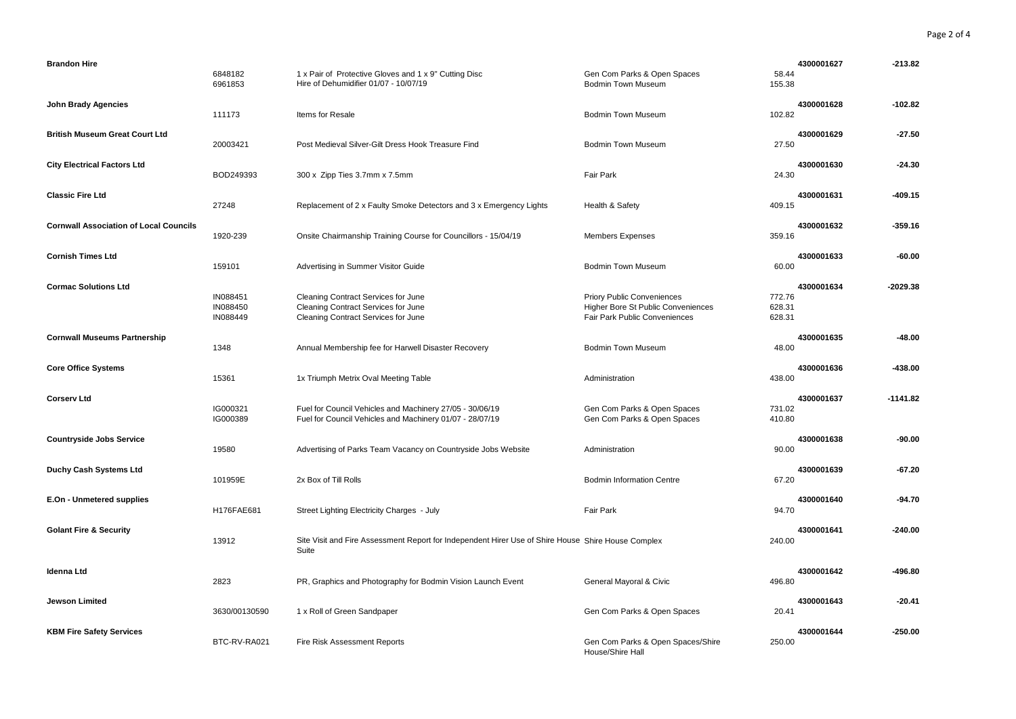| <b>Brandon Hire</b>                           | 6848182<br>6961853               | 1 x Pair of Protective Gloves and 1 x 9" Cutting Disc<br>Hire of Dehumidifier 01/07 - 10/07/19                       | Gen Com Parks & Open Spaces<br><b>Bodmin Town Museum</b>                                                 | 4300001627<br>58.44<br>155.38            | $-213.82$  |
|-----------------------------------------------|----------------------------------|----------------------------------------------------------------------------------------------------------------------|----------------------------------------------------------------------------------------------------------|------------------------------------------|------------|
| <b>John Brady Agencies</b>                    | 111173                           | Items for Resale                                                                                                     | <b>Bodmin Town Museum</b>                                                                                | 4300001628<br>102.82                     | $-102.82$  |
| <b>British Museum Great Court Ltd</b>         | 20003421                         | Post Medieval Silver-Gilt Dress Hook Treasure Find                                                                   | <b>Bodmin Town Museum</b>                                                                                | 4300001629<br>27.50                      | $-27.50$   |
| <b>City Electrical Factors Ltd</b>            | BOD249393                        | 300 x Zipp Ties 3.7mm x 7.5mm                                                                                        | Fair Park                                                                                                | 4300001630<br>24.30                      | $-24.30$   |
| <b>Classic Fire Ltd</b>                       | 27248                            | Replacement of 2 x Faulty Smoke Detectors and 3 x Emergency Lights                                                   | Health & Safety                                                                                          | 4300001631<br>409.15                     | $-409.15$  |
| <b>Cornwall Association of Local Councils</b> | 1920-239                         | Onsite Chairmanship Training Course for Councillors - 15/04/19                                                       | <b>Members Expenses</b>                                                                                  | 4300001632<br>359.16                     | $-359.16$  |
| <b>Cornish Times Ltd</b>                      | 159101                           | Advertising in Summer Visitor Guide                                                                                  | <b>Bodmin Town Museum</b>                                                                                | 4300001633<br>60.00                      | -60.00     |
| <b>Cormac Solutions Ltd</b>                   | IN088451<br>IN088450<br>IN088449 | Cleaning Contract Services for June<br>Cleaning Contract Services for June<br>Cleaning Contract Services for June    | <b>Priory Public Conveniences</b><br>Higher Bore St Public Conveniences<br>Fair Park Public Conveniences | 4300001634<br>772.76<br>628.31<br>628.31 | $-2029.38$ |
| <b>Cornwall Museums Partnership</b>           | 1348                             | Annual Membership fee for Harwell Disaster Recovery                                                                  | <b>Bodmin Town Museum</b>                                                                                | 4300001635<br>48.00                      | $-48.00$   |
| <b>Core Office Systems</b>                    | 15361                            | 1x Triumph Metrix Oval Meeting Table                                                                                 | Administration                                                                                           | 4300001636<br>438.00                     | $-438.00$  |
| <b>Corserv Ltd</b>                            | IG000321<br>IG000389             | Fuel for Council Vehicles and Machinery 27/05 - 30/06/19<br>Fuel for Council Vehicles and Machinery 01/07 - 28/07/19 | Gen Com Parks & Open Spaces<br>Gen Com Parks & Open Spaces                                               | 4300001637<br>731.02<br>410.80           | $-1141.82$ |
| <b>Countryside Jobs Service</b>               | 19580                            | Advertising of Parks Team Vacancy on Countryside Jobs Website                                                        | Administration                                                                                           | 4300001638<br>90.00                      | -90.00     |
| <b>Duchy Cash Systems Ltd</b>                 | 101959E                          | 2x Box of Till Rolls                                                                                                 | <b>Bodmin Information Centre</b>                                                                         | 4300001639<br>67.20                      | $-67.20$   |
| E.On - Unmetered supplies                     | H176FAE681                       | Street Lighting Electricity Charges - July                                                                           | <b>Fair Park</b>                                                                                         | 4300001640<br>94.70                      | $-94.70$   |
| <b>Golant Fire &amp; Security</b>             | 13912                            | Site Visit and Fire Assessment Report for Independent Hirer Use of Shire House Shire House Complex<br>Suite          |                                                                                                          | 4300001641<br>240.00                     | $-240.00$  |
| <b>Idenna Ltd</b>                             | 2823                             | PR, Graphics and Photography for Bodmin Vision Launch Event                                                          | General Mayoral & Civic                                                                                  | 4300001642<br>496.80                     | $-496.80$  |
| Jewson Limited                                |                                  |                                                                                                                      |                                                                                                          |                                          |            |
|                                               | 3630/00130590                    | 1 x Roll of Green Sandpaper                                                                                          | Gen Com Parks & Open Spaces                                                                              | 4300001643<br>20.41                      | $-20.41$   |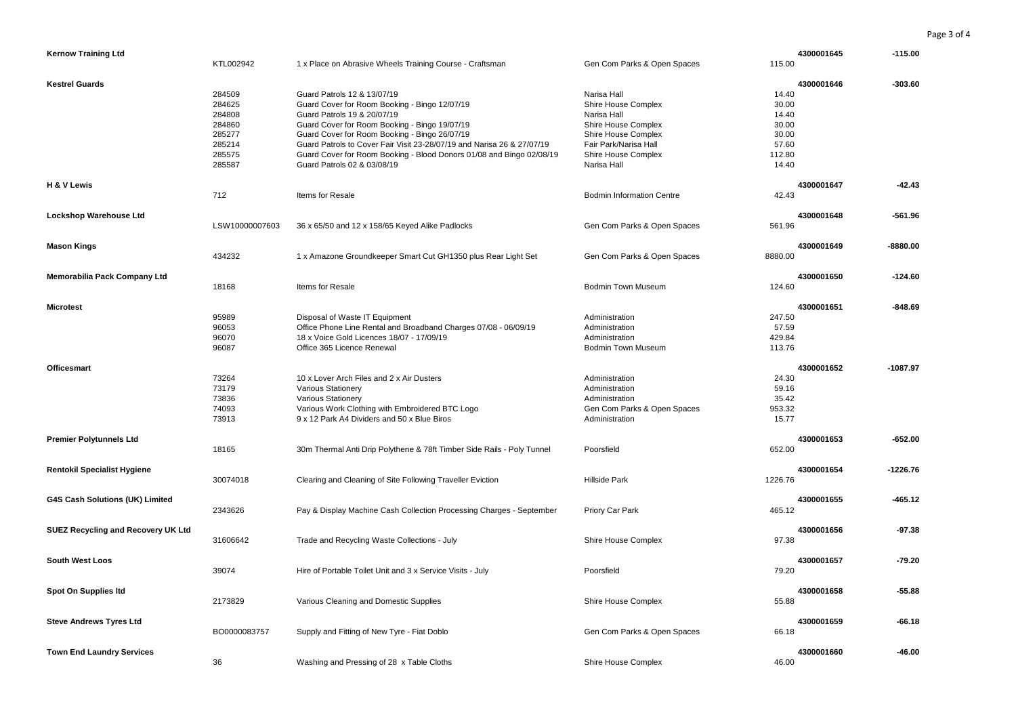| <b>Kernow Training Ltd</b>                | KTL002942                                                                    | 1 x Place on Abrasive Wheels Training Course - Craftsman                                                                                                                                                                                                                                                                                                                                       | Gen Com Parks & Open Spaces                                                                                                                                    | 4300001645<br>115.00                                                                | $-115.00$  |
|-------------------------------------------|------------------------------------------------------------------------------|------------------------------------------------------------------------------------------------------------------------------------------------------------------------------------------------------------------------------------------------------------------------------------------------------------------------------------------------------------------------------------------------|----------------------------------------------------------------------------------------------------------------------------------------------------------------|-------------------------------------------------------------------------------------|------------|
| <b>Kestrel Guards</b>                     | 284509<br>284625<br>284808<br>284860<br>285277<br>285214<br>285575<br>285587 | Guard Patrols 12 & 13/07/19<br>Guard Cover for Room Booking - Bingo 12/07/19<br>Guard Patrols 19 & 20/07/19<br>Guard Cover for Room Booking - Bingo 19/07/19<br>Guard Cover for Room Booking - Bingo 26/07/19<br>Guard Patrols to Cover Fair Visit 23-28/07/19 and Narisa 26 & 27/07/19<br>Guard Cover for Room Booking - Blood Donors 01/08 and Bingo 02/08/19<br>Guard Patrols 02 & 03/08/19 | Narisa Hall<br>Shire House Complex<br>Narisa Hall<br>Shire House Complex<br>Shire House Complex<br>Fair Park/Narisa Hall<br>Shire House Complex<br>Narisa Hall | 4300001646<br>14.40<br>30.00<br>14.40<br>30.00<br>30.00<br>57.60<br>112.80<br>14.40 | $-303.60$  |
| H & V Lewis                               | 712                                                                          | Items for Resale                                                                                                                                                                                                                                                                                                                                                                               | <b>Bodmin Information Centre</b>                                                                                                                               | 4300001647<br>42.43                                                                 | $-42.43$   |
| Lockshop Warehouse Ltd                    | LSW10000007603                                                               | 36 x 65/50 and 12 x 158/65 Keyed Alike Padlocks                                                                                                                                                                                                                                                                                                                                                | Gen Com Parks & Open Spaces                                                                                                                                    | 4300001648<br>561.96                                                                | $-561.96$  |
| <b>Mason Kings</b>                        | 434232                                                                       | 1 x Amazone Groundkeeper Smart Cut GH1350 plus Rear Light Set                                                                                                                                                                                                                                                                                                                                  | Gen Com Parks & Open Spaces                                                                                                                                    | 4300001649<br>8880.00                                                               | $-8880.00$ |
| <b>Memorabilia Pack Company Ltd</b>       | 18168                                                                        | Items for Resale                                                                                                                                                                                                                                                                                                                                                                               | <b>Bodmin Town Museum</b>                                                                                                                                      | 4300001650<br>124.60                                                                | $-124.60$  |
| <b>Microtest</b>                          | 95989<br>96053<br>96070<br>96087                                             | Disposal of Waste IT Equipment<br>Office Phone Line Rental and Broadband Charges 07/08 - 06/09/19<br>18 x Voice Gold Licences 18/07 - 17/09/19<br>Office 365 Licence Renewal                                                                                                                                                                                                                   | Administration<br>Administration<br>Administration<br>Bodmin Town Museum                                                                                       | 4300001651<br>247.50<br>57.59<br>429.84<br>113.76                                   | $-848.69$  |
| <b>Officesmart</b>                        | 73264<br>73179<br>73836<br>74093<br>73913                                    | 10 x Lover Arch Files and 2 x Air Dusters<br><b>Various Stationery</b><br>Various Stationery<br>Various Work Clothing with Embroidered BTC Logo<br>9 x 12 Park A4 Dividers and 50 x Blue Biros                                                                                                                                                                                                 | Administration<br>Administration<br>Administration<br>Gen Com Parks & Open Spaces<br>Administration                                                            | 4300001652<br>24.30<br>59.16<br>35.42<br>953.32<br>15.77                            | $-1087.97$ |
| <b>Premier Polytunnels Ltd</b>            | 18165                                                                        | 30m Thermal Anti Drip Polythene & 78ft Timber Side Rails - Poly Tunnel                                                                                                                                                                                                                                                                                                                         | Poorsfield                                                                                                                                                     | 4300001653<br>652.00                                                                | $-652.00$  |
| <b>Rentokil Specialist Hygiene</b>        | 30074018                                                                     | Clearing and Cleaning of Site Following Traveller Eviction                                                                                                                                                                                                                                                                                                                                     | <b>Hillside Park</b>                                                                                                                                           | 4300001654<br>1226.76                                                               | $-1226.76$ |
| G4S Cash Solutions (UK) Limited           | 2343626                                                                      | Pay & Display Machine Cash Collection Processing Charges - September                                                                                                                                                                                                                                                                                                                           | Priory Car Park                                                                                                                                                | 4300001655<br>465.12                                                                | $-465.12$  |
| <b>SUEZ Recycling and Recovery UK Ltd</b> | 31606642                                                                     | Trade and Recycling Waste Collections - July                                                                                                                                                                                                                                                                                                                                                   | Shire House Complex                                                                                                                                            | 4300001656<br>97.38                                                                 | $-97.38$   |
| <b>South West Loos</b>                    | 39074                                                                        | Hire of Portable Toilet Unit and 3 x Service Visits - July                                                                                                                                                                                                                                                                                                                                     | Poorsfield                                                                                                                                                     | 4300001657<br>79.20                                                                 | $-79.20$   |
| Spot On Supplies Itd                      | 2173829                                                                      | Various Cleaning and Domestic Supplies                                                                                                                                                                                                                                                                                                                                                         | Shire House Complex                                                                                                                                            | 4300001658<br>55.88                                                                 | $-55.88$   |
| <b>Steve Andrews Tyres Ltd</b>            | BO0000083757                                                                 | Supply and Fitting of New Tyre - Fiat Doblo                                                                                                                                                                                                                                                                                                                                                    | Gen Com Parks & Open Spaces                                                                                                                                    | 4300001659<br>66.18                                                                 | $-66.18$   |
| <b>Town End Laundry Services</b>          | 36                                                                           | Washing and Pressing of 28 x Table Cloths                                                                                                                                                                                                                                                                                                                                                      | Shire House Complex                                                                                                                                            | 4300001660<br>46.00                                                                 | $-46.00$   |